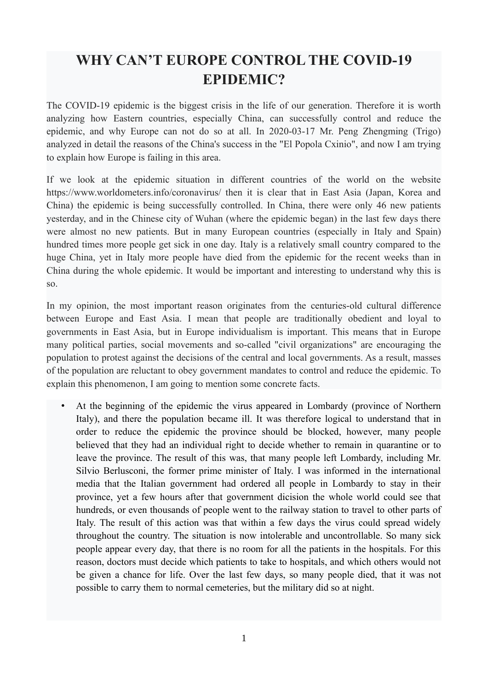## **WHY CAN'T EUROPE CONTROL THE COVID-19 EPIDEMIC?**

The COVID-19 epidemic is the biggest crisis in the life of our generation. Therefore it is worth analyzing how Eastern countries, especially China, can successfully control and reduce the epidemic, and why Europe can not do so at all. In 2020-03-17 Mr. Peng Zhengming (Trigo) analyzed in detail the reasons of the China's success in the "El Popola Cxinio", and now I am trying to explain how Europe is failing in this area.

If we look at the epidemic situation in different countries of the world on the website https://www.worldometers.info/coronavirus/ then it is clear that in East Asia (Japan, Korea and China) the epidemic is being successfully controlled. In China, there were only 46 new patients yesterday, and in the Chinese city of Wuhan (where the epidemic began) in the last few days there were almost no new patients. But in many European countries (especially in Italy and Spain) hundred times more people get sick in one day. Italy is a relatively small country compared to the huge China, yet in Italy more people have died from the epidemic for the recent weeks than in China during the whole epidemic. It would be important and interesting to understand why this is so.

In my opinion, the most important reason originates from the centuries-old cultural difference between Europe and East Asia. I mean that people are traditionally obedient and loyal to governments in East Asia, but in Europe individualism is important. This means that in Europe many political parties, social movements and so-called "civil organizations" are encouraging the population to protest against the decisions of the central and local governments. As a result, masses of the population are reluctant to obey government mandates to control and reduce the epidemic. To explain this phenomenon, I am going to mention some concrete facts.

At the beginning of the epidemic the virus appeared in Lombardy (province of Northern Italy), and there the population became ill. It was therefore logical to understand that in order to reduce the epidemic the province should be blocked, however, many people believed that they had an individual right to decide whether to remain in quarantine or to leave the province. The result of this was, that many people left Lombardy, including Mr. Silvio Berlusconi, the former prime minister of Italy. I was informed in the international media that the Italian government had ordered all people in Lombardy to stay in their province, yet a few hours after that government dicision the whole world could see that hundreds, or even thousands of people went to the railway station to travel to other parts of Italy. The result of this action was that within a few days the virus could spread widely throughout the country. The situation is now intolerable and uncontrollable. So many sick people appear every day, that there is no room for all the patients in the hospitals. For this reason, doctors must decide which patients to take to hospitals, and which others would not be given a chance for life. Over the last few days, so many people died, that it was not possible to carry them to normal cemeteries, but the military did so at night.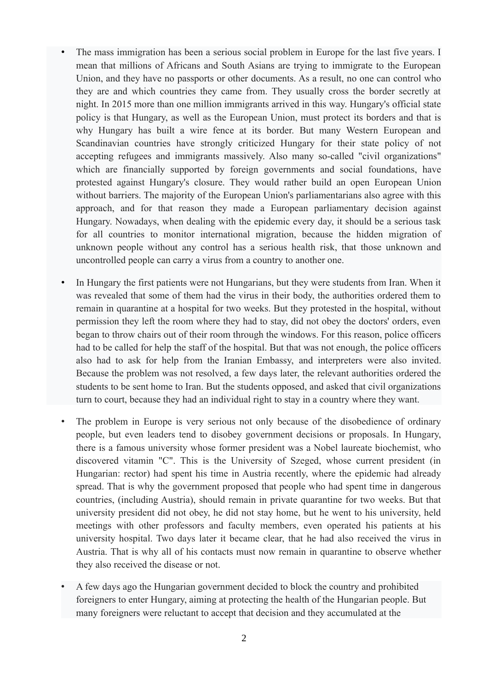- The mass immigration has been a serious social problem in Europe for the last five years. I mean that millions of Africans and South Asians are trying to immigrate to the European Union, and they have no passports or other documents. As a result, no one can control who they are and which countries they came from. They usually cross the border secretly at night. In 2015 more than one million immigrants arrived in this way. Hungary's official state policy is that Hungary, as well as the European Union, must protect its borders and that is why Hungary has built a wire fence at its border. But many Western European and Scandinavian countries have strongly criticized Hungary for their state policy of not accepting refugees and immigrants massively. Also many so-called "civil organizations" which are financially supported by foreign governments and social foundations, have protested against Hungary's closure. They would rather build an open European Union without barriers. The majority of the European Union's parliamentarians also agree with this approach, and for that reason they made a European parliamentary decision against Hungary. Nowadays, when dealing with the epidemic every day, it should be a serious task for all countries to monitor international migration, because the hidden migration of unknown people without any control has a serious health risk, that those unknown and uncontrolled people can carry a virus from a country to another one.
- In Hungary the first patients were not Hungarians, but they were students from Iran. When it was revealed that some of them had the virus in their body, the authorities ordered them to remain in quarantine at a hospital for two weeks. But they protested in the hospital, without permission they left the room where they had to stay, did not obey the doctors' orders, even began to throw chairs out of their room through the windows. For this reason, police officers had to be called for help the staff of the hospital. But that was not enough, the police officers also had to ask for help from the Iranian Embassy, and interpreters were also invited. Because the problem was not resolved, a few days later, the relevant authorities ordered the students to be sent home to Iran. But the students opposed, and asked that civil organizations turn to court, because they had an individual right to stay in a country where they want.
- The problem in Europe is very serious not only because of the disobedience of ordinary people, but even leaders tend to disobey government decisions or proposals. In Hungary, there is a famous university whose former president was a Nobel laureate biochemist, who discovered vitamin "C". This is the University of Szeged, whose current president (in Hungarian: rector) had spent his time in Austria recently, where the epidemic had already spread. That is why the government proposed that people who had spent time in dangerous countries, (including Austria), should remain in private quarantine for two weeks. But that university president did not obey, he did not stay home, but he went to his university, held meetings with other professors and faculty members, even operated his patients at his university hospital. Two days later it became clear, that he had also received the virus in Austria. That is why all of his contacts must now remain in quarantine to observe whether they also received the disease or not.
- A few days ago the Hungarian government decided to block the country and prohibited foreigners to enter Hungary, aiming at protecting the health of the Hungarian people. But many foreigners were reluctant to accept that decision and they accumulated at the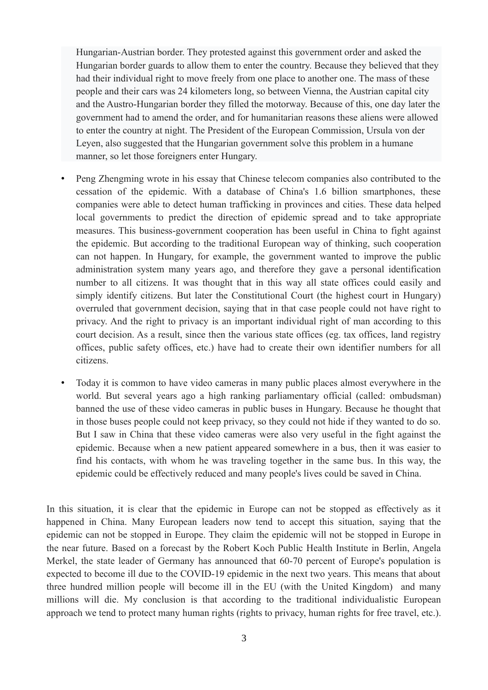Hungarian-Austrian border. They protested against this government order and asked the Hungarian border guards to allow them to enter the country. Because they believed that they had their individual right to move freely from one place to another one. The mass of these people and their cars was 24 kilometers long, so between Vienna, the Austrian capital city and the Austro-Hungarian border they filled the motorway. Because of this, one day later the government had to amend the order, and for humanitarian reasons these aliens were allowed to enter the country at night. The President of the European Commission, Ursula von der Leyen, also suggested that the Hungarian government solve this problem in a humane manner, so let those foreigners enter Hungary.

- Peng Zhengming wrote in his essay that Chinese telecom companies also contributed to the cessation of the epidemic. With a database of China's 1.6 billion smartphones, these companies were able to detect human trafficking in provinces and cities. These data helped local governments to predict the direction of epidemic spread and to take appropriate measures. This business-government cooperation has been useful in China to fight against the epidemic. But according to the traditional European way of thinking, such cooperation can not happen. In Hungary, for example, the government wanted to improve the public administration system many years ago, and therefore they gave a personal identification number to all citizens. It was thought that in this way all state offices could easily and simply identify citizens. But later the Constitutional Court (the highest court in Hungary) overruled that government decision, saying that in that case people could not have right to privacy. And the right to privacy is an important individual right of man according to this court decision. As a result, since then the various state offices (eg. tax offices, land registry offices, public safety offices, etc.) have had to create their own identifier numbers for all citizens.
- Today it is common to have video cameras in many public places almost everywhere in the world. But several years ago a high ranking parliamentary official (called: ombudsman) banned the use of these video cameras in public buses in Hungary. Because he thought that in those buses people could not keep privacy, so they could not hide if they wanted to do so. But I saw in China that these video cameras were also very useful in the fight against the epidemic. Because when a new patient appeared somewhere in a bus, then it was easier to find his contacts, with whom he was traveling together in the same bus. In this way, the epidemic could be effectively reduced and many people's lives could be saved in China.

In this situation, it is clear that the epidemic in Europe can not be stopped as effectively as it happened in China. Many European leaders now tend to accept this situation, saying that the epidemic can not be stopped in Europe. They claim the epidemic will not be stopped in Europe in the near future. Based on a forecast by the Robert Koch Public Health Institute in Berlin, Angela Merkel, the state leader of Germany has announced that 60-70 percent of Europe's population is expected to become ill due to the COVID-19 epidemic in the next two years. This means that about three hundred million people will become ill in the EU (with the United Kingdom) and many millions will die. My conclusion is that according to the traditional individualistic European approach we tend to protect many human rights (rights to privacy, human rights for free travel, etc.).